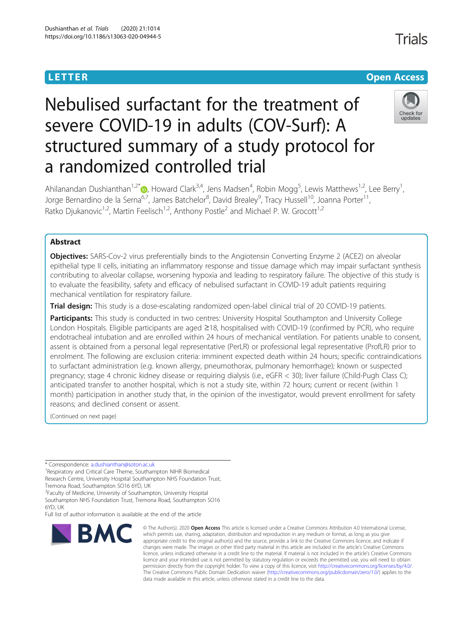## **LETTER CONSTRUCTION CONSTRUCTION**

## Check for undates

# Nebulised surfactant for the treatment of severe COVID-19 in adults (COV-Surf): A structured summary of a study protocol for a randomized controlled trial

Ahilanandan Dushianthan<sup>1[,](http://orcid.org/0000-0002-0165-3359)2\*</sup> (b), Howard Clark<sup>3,4</sup>, Jens Madsen<sup>4</sup>, Robin Mogg<sup>5</sup>, Lewis Matthews<sup>1,2</sup>, Lee Berry<sup>1</sup> , Jorge Bernardino de la Serna<sup>6,7</sup>, James Batchelor<sup>8</sup>, David Brealey<sup>9</sup>, Tracy Hussell<sup>10</sup>, Joanna Porter<sup>11</sup>, Ratko Djukanovic<sup>1,2</sup>, Martin Feelisch<sup>1,2</sup>, Anthony Postle<sup>2</sup> and Michael P. W. Grocott<sup>1,2</sup>

### Abstract

**Objectives:** SARS-Cov-2 virus preferentially binds to the Angiotensin Converting Enzyme 2 (ACE2) on alveolar epithelial type II cells, initiating an inflammatory response and tissue damage which may impair surfactant synthesis contributing to alveolar collapse, worsening hypoxia and leading to respiratory failure. The objective of this study is to evaluate the feasibility, safety and efficacy of nebulised surfactant in COVID-19 adult patients requiring mechanical ventilation for respiratory failure.

Trial design: This study is a dose-escalating randomized open-label clinical trial of 20 COVID-19 patients.

Participants: This study is conducted in two centres: University Hospital Southampton and University College London Hospitals. Eligible participants are aged ≥18, hospitalised with COVID-19 (confirmed by PCR), who require endotracheal intubation and are enrolled within 24 hours of mechanical ventilation. For patients unable to consent, assent is obtained from a personal legal representative (PerLR) or professional legal representative (ProfLR) prior to enrolment. The following are exclusion criteria: imminent expected death within 24 hours; specific contraindications to surfactant administration (e.g. known allergy, pneumothorax, pulmonary hemorrhage); known or suspected pregnancy; stage 4 chronic kidney disease or requiring dialysis (i.e., eGFR < 30); liver failure (Child-Pugh Class C); anticipated transfer to another hospital, which is not a study site, within 72 hours; current or recent (within 1 month) participation in another study that, in the opinion of the investigator, would prevent enrollment for safety reasons; and declined consent or assent.

(Continued on next page)

\* Correspondence: [a.dushianthan@soton.ac.uk](mailto:a.dushianthan@soton.ac.uk) <sup>1</sup>

<sup>1</sup> Respiratory and Critical Care Theme, Southampton NIHR Biomedical Research Centre, University Hospital Southampton NHS Foundation Trust, Tremona Road, Southampton SO16 6YD, UK

<sup>2</sup> Faculty of Medicine, University of Southampton, University Hospital

Southampton NHS Foundation Trust, Tremona Road, Southampton SO16 6YD, UK

Full list of author information is available at the end of the article



<sup>©</sup> The Author(s), 2020 **Open Access** This article is licensed under a Creative Commons Attribution 4.0 International License, which permits use, sharing, adaptation, distribution and reproduction in any medium or format, as long as you give appropriate credit to the original author(s) and the source, provide a link to the Creative Commons licence, and indicate if changes were made. The images or other third party material in this article are included in the article's Creative Commons licence, unless indicated otherwise in a credit line to the material. If material is not included in the article's Creative Commons licence and your intended use is not permitted by statutory regulation or exceeds the permitted use, you will need to obtain permission directly from the copyright holder. To view a copy of this licence, visit [http://creativecommons.org/licenses/by/4.0/.](http://creativecommons.org/licenses/by/4.0/) The Creative Commons Public Domain Dedication waiver [\(http://creativecommons.org/publicdomain/zero/1.0/](http://creativecommons.org/publicdomain/zero/1.0/)) applies to the data made available in this article, unless otherwise stated in a credit line to the data.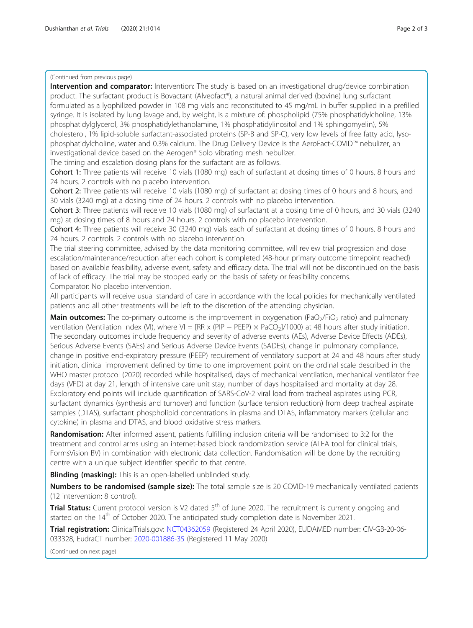#### (Continued from previous page)

Intervention and comparator: Intervention: The study is based on an investigational drug/device combination product. The surfactant product is Bovactant (Alveofact®), a natural animal derived (bovine) lung surfactant formulated as a lyophilized powder in 108 mg vials and reconstituted to 45 mg/mL in buffer supplied in a prefilled syringe. It is isolated by lung lavage and, by weight, is a mixture of: phospholipid (75% phosphatidylcholine, 13% phosphatidylglycerol, 3% phosphatidylethanolamine, 1% phosphatidylinositol and 1% sphingomyelin), 5% cholesterol, 1% lipid-soluble surfactant-associated proteins (SP-B and SP-C), very low levels of free fatty acid, lysophosphatidylcholine, water and 0.3% calcium. The Drug Delivery Device is the AeroFact-COVID™ nebulizer, an investigational device based on the Aerogen® Solo vibrating mesh nebulizer. The timing and escalation dosing plans for the surfactant are as follows. Cohort 1: Three patients will receive 10 vials (1080 mg) each of surfactant at dosing times of 0 hours, 8 hours and 24 hours. 2 controls with no placebo intervention. Cohort 2: Three patients will receive 10 vials (1080 mg) of surfactant at dosing times of 0 hours and 8 hours, and 30 vials (3240 mg) at a dosing time of 24 hours. 2 controls with no placebo intervention. Cohort 3: Three patients will receive 10 vials (1080 mg) of surfactant at a dosing time of 0 hours, and 30 vials (3240 mg) at dosing times of 8 hours and 24 hours. 2 controls with no placebo intervention. Cohort 4: Three patients will receive 30 (3240 mg) vials each of surfactant at dosing times of 0 hours, 8 hours and 24 hours. 2 controls. 2 controls with no placebo intervention. The trial steering committee, advised by the data monitoring committee, will review trial progression and dose escalation/maintenance/reduction after each cohort is completed (48-hour primary outcome timepoint reached) based on available feasibility, adverse event, safety and efficacy data. The trial will not be discontinued on the basis of lack of efficacy. The trial may be stopped early on the basis of safety or feasibility concerns. Comparator: No placebo intervention. All participants will receive usual standard of care in accordance with the local policies for mechanically ventilated patients and all other treatments will be left to the discretion of the attending physician. **Main outcomes:** The co-primary outcome is the improvement in oxygenation (PaO<sub>2</sub>/FiO<sub>2</sub> ratio) and pulmonary ventilation (Ventilation Index (VI), where VI = [RR x (PIP – PEEP)  $\times$  PaCO<sub>2</sub>]/1000) at 48 hours after study initiation. The secondary outcomes include frequency and severity of adverse events (AEs), Adverse Device Effects (ADEs), Serious Adverse Events (SAEs) and Serious Adverse Device Events (SADEs), change in pulmonary compliance, change in positive end-expiratory pressure (PEEP) requirement of ventilatory support at 24 and 48 hours after study initiation, clinical improvement defined by time to one improvement point on the ordinal scale described in the WHO master protocol (2020) recorded while hospitalised, days of mechanical ventilation, mechanical ventilator free days (VFD) at day 21, length of intensive care unit stay, number of days hospitalised and mortality at day 28. Exploratory end points will include quantification of SARS-CoV-2 viral load from tracheal aspirates using PCR, surfactant dynamics (synthesis and turnover) and function (surface tension reduction) from deep tracheal aspirate samples (DTAS), surfactant phospholipid concentrations in plasma and DTAS, inflammatory markers (cellular and cytokine) in plasma and DTAS, and blood oxidative stress markers. Randomisation: After informed assent, patients fulfilling inclusion criteria will be randomised to 3:2 for the

treatment and control arms using an internet-based block randomization service (ALEA tool for clinical trials, FormsVision BV) in combination with electronic data collection. Randomisation will be done by the recruiting centre with a unique subject identifier specific to that centre.

**Blinding (masking):** This is an open-labelled unblinded study.

Numbers to be randomised (sample size): The total sample size is 20 COVID-19 mechanically ventilated patients (12 intervention; 8 control).

**Trial Status:** Current protocol version is V2 dated 5<sup>th</sup> of June 2020. The recruitment is currently ongoing and started on the  $14<sup>th</sup>$  of October 2020. The anticipated study completion date is November 2021.

Trial registration: ClinicalTrials.gov: [NCT04362059](https://clinicaltrials.gov/ct2/show/NCT04362059) (Registered 24 April 2020), EUDAMED number: CIV-GB-20-06- 033328, EudraCT number: [2020-001886-35](https://ec.europa.eu/health/md_eudamed/overview_en) (Registered 11 May 2020)

(Continued on next page)